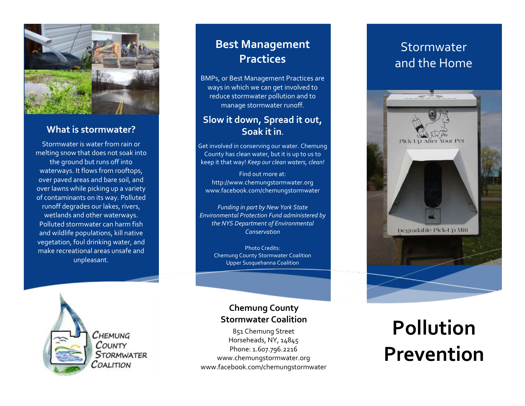

### **What is stormwater?**

Stormwater is water from rain or melting snow that does not soak into the ground but runs off into waterways. It flows from rooftops, over paved areas and bare soil, and over lawns while picking up a variety of contaminants on its way. Polluted runoff degrades our lakes, rivers, wetlands and other waterways. Polluted stormwater can harm fish and wildlife populations, kill native vegetation, foul drinking water, and make recreational areas unsafe and unpleasant.

## **Best Management Practices**

BMPs, or Best Management Practices are ways in which we can get involved to reduce stormwater pollution and to manage stormwater runoff.

## **Slow it down, Spread it out, Soak it in.**

Get involved in conserving our water. Chemung County has clean water, but it is up to us to keep it that way! *Keep our clean waters, clean!*

Find out more at: http://www.chemungstormwater.org www.facebook.com/chemungstormwater

*Funding in part by New York State Environmental Protection Fund administered by the NYS Department of Environmental Conservation*

Photo Credits: Chemung County Stormwater Coalition Upper Susquehanna Coalition

Снемима COUNTY STORMWATER COALITION

### **Chemung County Stormwater Coalition**

851 Chemung Street Horseheads, NY, 14845 Phone: 1.607.796.2216 www.chemungstormwater.org www.facebook.com/chemungstormwater

## Stormwater and the Home



# **Pollution Prevention**